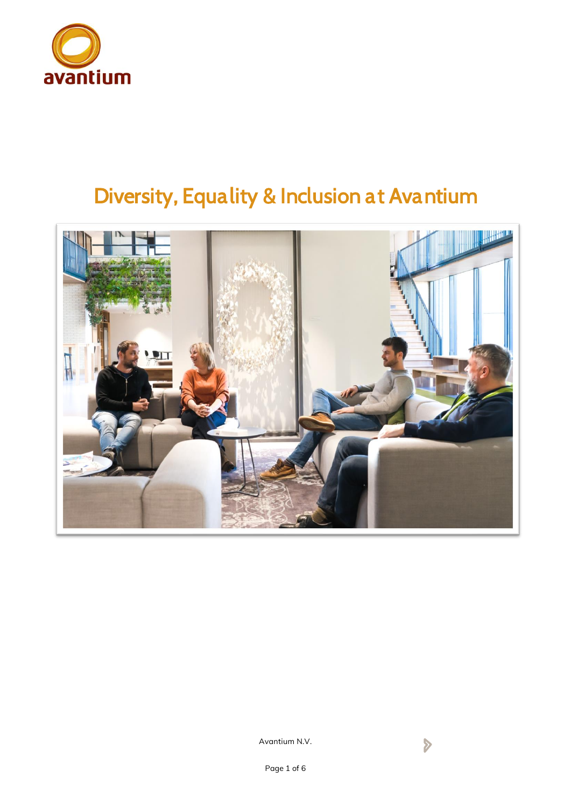

# *Diversity, Equality & Inclusion at Avantium*

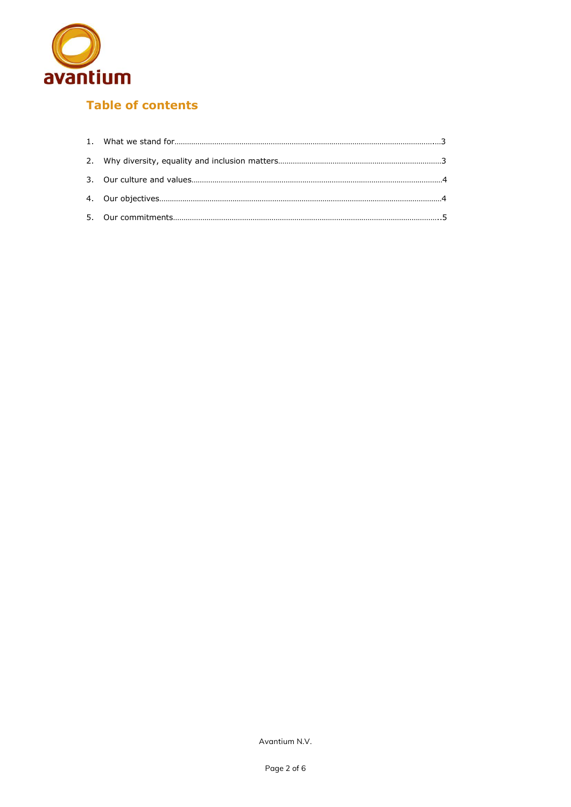

# **Table of contents**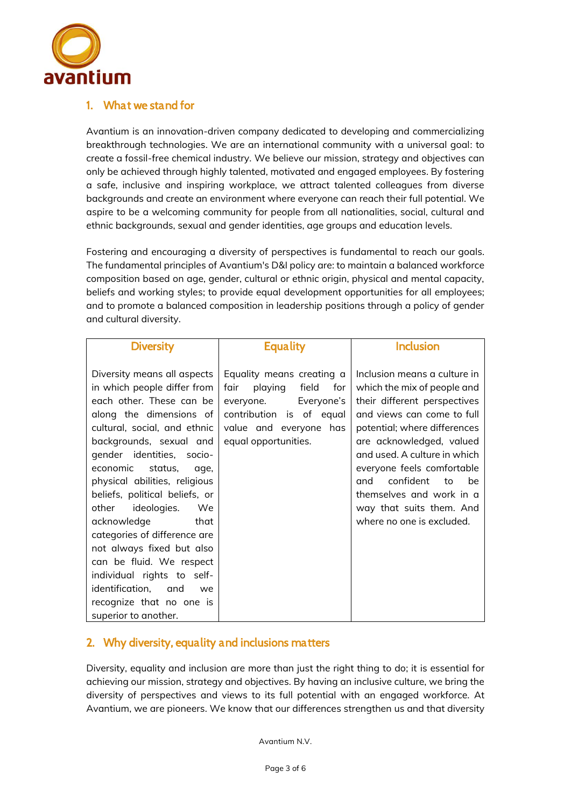

# *1. What we stand for*

Avantium is an innovation-driven company dedicated to developing and commercializing breakthrough technologies. We are an international community with a universal goal: to create a fossil-free chemical industry. We believe our mission, strategy and objectives can only be achieved through highly talented, motivated and engaged employees. By fostering a safe, inclusive and inspiring workplace, we attract talented colleagues from diverse backgrounds and create an environment where everyone can reach their full potential. We aspire to be a welcoming community for people from all nationalities, social, cultural and ethnic backgrounds, sexual and gender identities, age groups and education levels.

Fostering and encouraging a diversity of perspectives is fundamental to reach our goals. The fundamental principles of Avantium's D&I policy are: to maintain a balanced workforce composition based on age, gender, cultural or ethnic origin, physical and mental capacity, beliefs and working styles; to provide equal development opportunities for all employees; and to promote a balanced composition in leadership positions through a policy of gender and cultural diversity.

| <b>Diversity</b>                                                                                                                                                                                                                                                                                                                                                                                                                                                                                                                                                            | Equality                                                                                                                                                                 | Inclusion                                                                                                                                                                                                                                                                                                                                                                |
|-----------------------------------------------------------------------------------------------------------------------------------------------------------------------------------------------------------------------------------------------------------------------------------------------------------------------------------------------------------------------------------------------------------------------------------------------------------------------------------------------------------------------------------------------------------------------------|--------------------------------------------------------------------------------------------------------------------------------------------------------------------------|--------------------------------------------------------------------------------------------------------------------------------------------------------------------------------------------------------------------------------------------------------------------------------------------------------------------------------------------------------------------------|
| Diversity means all aspects<br>in which people differ from<br>each other. These can be<br>along the dimensions of<br>cultural, social, and ethnic<br>backgrounds, sexual and<br>gender identities, socio-<br>economic<br>status.<br>age,<br>physical abilities, religious<br>beliefs, political beliefs, or<br>ideologies.<br>other<br>We<br>acknowledge<br>that<br>categories of difference are<br>not always fixed but also<br>can be fluid. We respect<br>individual rights to self-<br>identification,<br>and<br>we<br>recognize that no one is<br>superior to another. | Equality means creating a<br>field<br>fair<br>playing<br>for<br>Everyone's<br>everyone.<br>contribution is of equal<br>value and everyone<br>has<br>equal opportunities. | Inclusion means a culture in<br>which the mix of people and<br>their different perspectives<br>and views can come to full<br>potential; where differences<br>are acknowledged, valued<br>and used. A culture in which<br>everyone feels comfortable<br>confident<br>be<br>and<br>to<br>themselves and work in a<br>way that suits them. And<br>where no one is excluded. |

# *2. Why diversity, equality and inclusions matters*

Diversity, equality and inclusion are more than just the right thing to do; it is essential for achieving our mission, strategy and objectives. By having an inclusive culture, we bring the diversity of perspectives and views to its full potential with an engaged workforce. At Avantium, we are pioneers. We know that our differences strengthen us and that diversity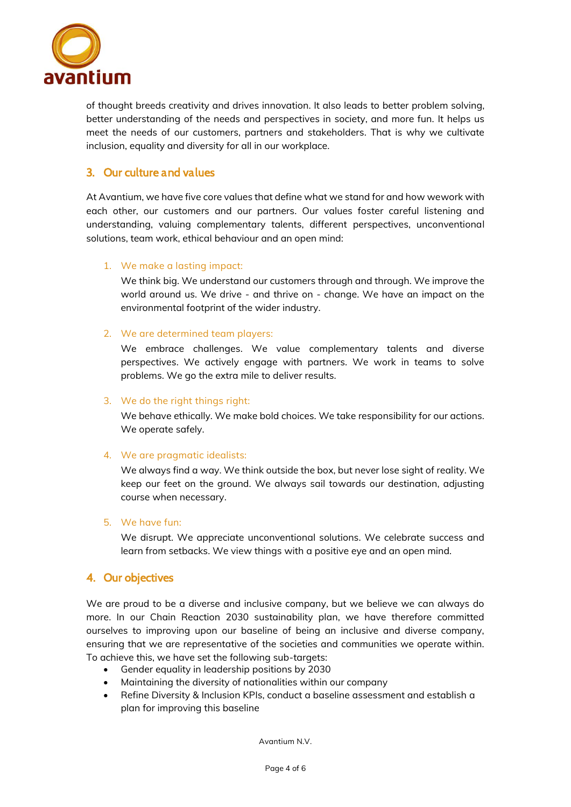

of thought breeds creativity and drives innovation. It also leads to better problem solving, better understanding of the needs and perspectives in society, and more fun. It helps us meet the needs of our customers, partners and stakeholders. That is why we cultivate inclusion, equality and diversity for all in our workplace.

# *3. Our culture and values*

At Avantium, we have five core values that define what we stand for and how wework with each other, our customers and our partners. Our values foster careful listening and understanding, valuing complementary talents, different perspectives, unconventional solutions, team work, ethical behaviour and an open mind:

## **1. We make a lasting impact:**

We think big. We understand our customers through and through. We improve the world around us. We drive - and thrive on - change. We have an impact on the environmental footprint of the wider industry.

#### **2. We are determined team players:**

We embrace challenges. We value complementary talents and diverse perspectives. We actively engage with partners. We work in teams to solve problems. We go the extra mile to deliver results.

#### **3. We do the right things right:**

We behave ethically. We make bold choices. We take responsibility for our actions. We operate safely.

#### **4. We are pragmatic idealists:**

We always find a way. We think outside the box, but never lose sight of reality. We keep our feet on the ground. We always sail towards our destination, adjusting course when necessary.

#### **5. We have fun:**

We disrupt. We appreciate unconventional solutions. We celebrate success and learn from setbacks. We view things with a positive eye and an open mind.

# *4. Our objectives*

We are proud to be a diverse and inclusive company, but we believe we can always do more. In our Chain Reaction 2030 sustainability plan, we have therefore committed ourselves to improving upon our baseline of being an inclusive and diverse company, ensuring that we are representative of the societies and communities we operate within. To achieve this, we have set the following sub-targets:

- Gender equality in leadership positions by 2030
- Maintaining the diversity of nationalities within our company
- Refine Diversity & Inclusion KPIs, conduct a baseline assessment and establish a plan for improving this baseline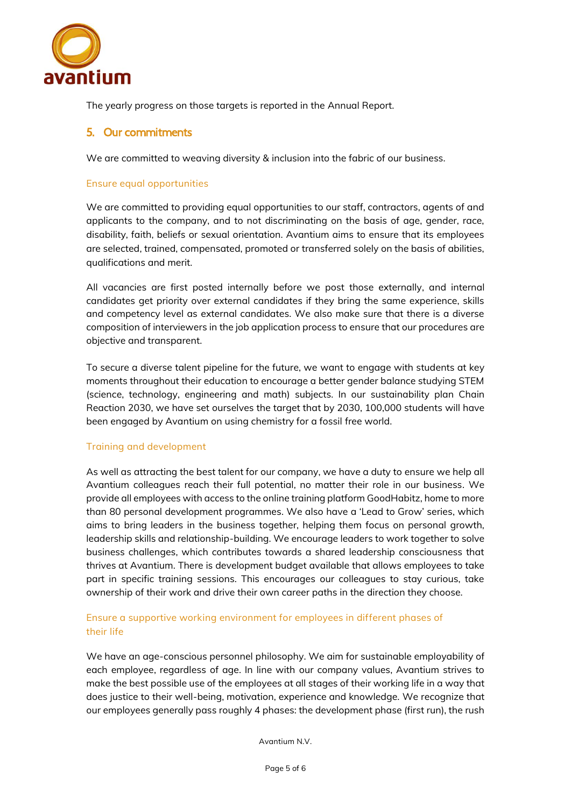

The yearly progress on those targets is reported in the Annual Report.

## *5. Our commitments*

We are committed to weaving diversity & inclusion into the fabric of our business.

#### **Ensure equal opportunities**

We are committed to providing equal opportunities to our staff, contractors, agents of and applicants to the company, and to not discriminating on the basis of age, gender, race, disability, faith, beliefs or sexual orientation. Avantium aims to ensure that its employees are selected, trained, compensated, promoted or transferred solely on the basis of abilities, qualifications and merit.

All vacancies are first posted internally before we post those externally, and internal candidates get priority over external candidates if they bring the same experience, skills and competency level as external candidates. We also make sure that there is a diverse composition of interviewers in the job application process to ensure that our procedures are objective and transparent.

To secure a diverse talent pipeline for the future, we want to engage with students at key moments throughout their education to encourage a better gender balance studying STEM (science, technology, engineering and math) subjects. In our sustainability plan Chain Reaction 2030, we have set ourselves the target that by 2030, 100,000 students will have been engaged by Avantium on using chemistry for a fossil free world.

#### **Training and development**

As well as attracting the best talent for our company, we have a duty to ensure we help all Avantium colleagues reach their full potential, no matter their role in our business. We provide all employees with access to the online training platform GoodHabitz, home to more than 80 personal development programmes. We also have a 'Lead to Grow' series, which aims to bring leaders in the business together, helping them focus on personal growth, leadership skills and relationship-building. We encourage leaders to work together to solve business challenges, which contributes towards a shared leadership consciousness that thrives at Avantium. There is development budget available that allows employees to take part in specific training sessions. This encourages our colleagues to stay curious, take ownership of their work and drive their own career paths in the direction they choose.

## **Ensure a supportive working environment for employees in different phases of their life**

We have an age-conscious personnel philosophy. We aim for sustainable employability of each employee, regardless of age. In line with our company values, Avantium strives to make the best possible use of the employees at all stages of their working life in a way that does justice to their well-being, motivation, experience and knowledge. We recognize that our employees generally pass roughly 4 phases: the development phase (first run), the rush